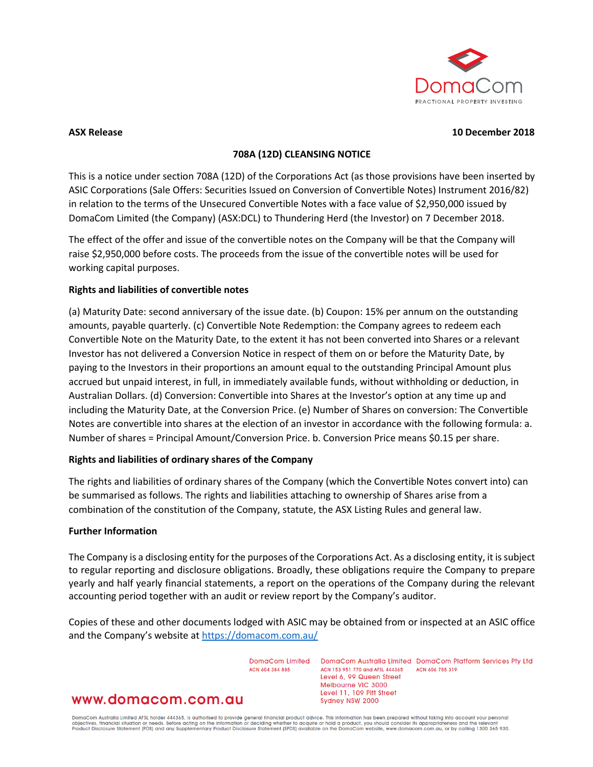

#### **ASX Release 10 December 2018**

## **708A (12D) CLEANSING NOTICE**

This is a notice under section 708A (12D) of the Corporations Act (as those provisions have been inserted by ASIC Corporations (Sale Offers: Securities Issued on Conversion of Convertible Notes) Instrument 2016/82) in relation to the terms of the Unsecured Convertible Notes with a face value of \$2,950,000 issued by DomaCom Limited (the Company) (ASX:DCL) to Thundering Herd (the Investor) on 7 December 2018.

The effect of the offer and issue of the convertible notes on the Company will be that the Company will raise \$2,950,000 before costs. The proceeds from the issue of the convertible notes will be used for working capital purposes.

## **Rights and liabilities of convertible notes**

(a) Maturity Date: second anniversary of the issue date. (b) Coupon: 15% per annum on the outstanding amounts, payable quarterly. (c) Convertible Note Redemption: the Company agrees to redeem each Convertible Note on the Maturity Date, to the extent it has not been converted into Shares or a relevant Investor has not delivered a Conversion Notice in respect of them on or before the Maturity Date, by paying to the Investors in their proportions an amount equal to the outstanding Principal Amount plus accrued but unpaid interest, in full, in immediately available funds, without withholding or deduction, in Australian Dollars. (d) Conversion: Convertible into Shares at the Investor's option at any time up and including the Maturity Date, at the Conversion Price. (e) Number of Shares on conversion: The Convertible Notes are convertible into shares at the election of an investor in accordance with the following formula: a. Number of shares = Principal Amount/Conversion Price. b. Conversion Price means \$0.15 per share.

# **Rights and liabilities of ordinary shares of the Company**

The rights and liabilities of ordinary shares of the Company (which the Convertible Notes convert into) can be summarised as follows. The rights and liabilities attaching to ownership of Shares arise from a combination of the constitution of the Company, statute, the ASX Listing Rules and general law.

#### **Further Information**

The Company is a disclosing entity for the purposes of the Corporations Act. As a disclosing entity, it issubject to regular reporting and disclosure obligations. Broadly, these obligations require the Company to prepare yearly and half yearly financial statements, a report on the operations of the Company during the relevant accounting period together with an audit or review report by the Company's auditor.

Copies of these and other documents lodged with ASIC may be obtained from or inspected at an ASIC office and the Company's website a[t https://domacom.com.au/](https://domacom.com.au/)

ACN 604 384 885

DomaCom Limited DomaCom Australia Limited DomaCom Platform Services Pty Ltd ACN 153 951 770 and AFSL 444365 ACN 606 755 319 Level 6, 99 Queen Street Melbourne VIC 3000 Level 11, 109 Pitt Street Sydney NSW 2000

# www.domacom.com.au

DomaCom Australia Limited AFSL holder 444365, is authorised to provide general financial product advice. This information has been prepared without taking into account your personal<br>objectives, financial situation or needs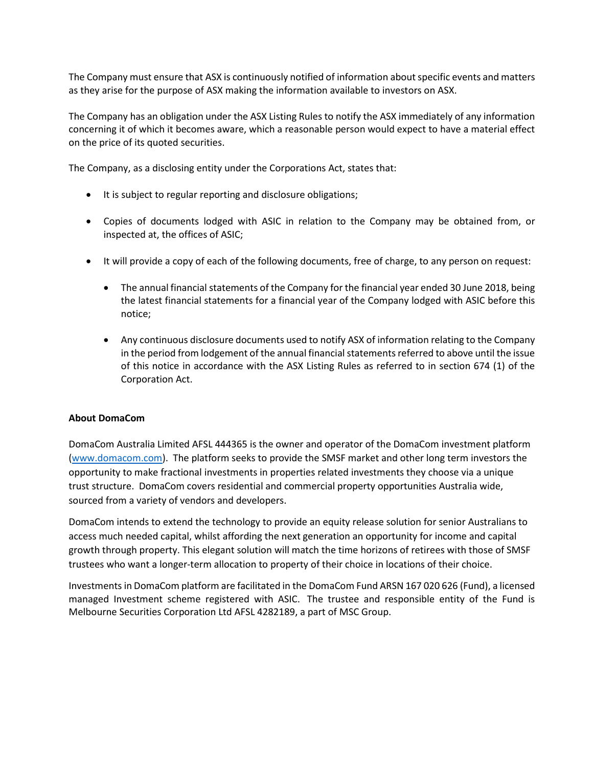The Company must ensure that ASX is continuously notified of information about specific events and matters as they arise for the purpose of ASX making the information available to investors on ASX.

The Company has an obligation under the ASX Listing Rules to notify the ASX immediately of any information concerning it of which it becomes aware, which a reasonable person would expect to have a material effect on the price of its quoted securities.

The Company, as a disclosing entity under the Corporations Act, states that:

- It is subject to regular reporting and disclosure obligations;
- Copies of documents lodged with ASIC in relation to the Company may be obtained from, or inspected at, the offices of ASIC;
- It will provide a copy of each of the following documents, free of charge, to any person on request:
	- The annual financial statements of the Company for the financial year ended 30 June 2018, being the latest financial statements for a financial year of the Company lodged with ASIC before this notice;
	- Any continuous disclosure documents used to notify ASX of information relating to the Company in the period from lodgement of the annual financial statements referred to above until the issue of this notice in accordance with the ASX Listing Rules as referred to in section 674 (1) of the Corporation Act.

# **About DomaCom**

DomaCom Australia Limited AFSL 444365 is the owner and operator of the DomaCom investment platform [\(www.domacom.com\)](https://apac01.safelinks.protection.outlook.com/?url=http%3A%2F%2Fwww.domacom.com&data=02%7C01%7Carthur.naoumidis%40domacom.com.au%7Cc245cb22160a4e55e83008d64dc4bc14%7C39f342c447984b4aa5c878207a6c9250%7C0%7C0%7C636781904758750055&sdata=xZl2OshWgg1gvhfP2gopo114wQ6Y8KSrdY%2Fo7pR%2Fifs%3D&reserved=0). The platform seeks to provide the SMSF market and other long term investors the opportunity to make fractional investments in properties related investments they choose via a unique trust structure. DomaCom covers residential and commercial property opportunities Australia wide, sourced from a variety of vendors and developers.

DomaCom intends to extend the technology to provide an equity release solution for senior Australians to access much needed capital, whilst affording the next generation an opportunity for income and capital growth through property. This elegant solution will match the time horizons of retirees with those of SMSF trustees who want a longer-term allocation to property of their choice in locations of their choice.

Investments in DomaCom platform are facilitated in the DomaCom Fund ARSN 167 020 626 (Fund), a licensed managed Investment scheme registered with ASIC. The trustee and responsible entity of the Fund is Melbourne Securities Corporation Ltd AFSL 4282189, a part of MSC Group.